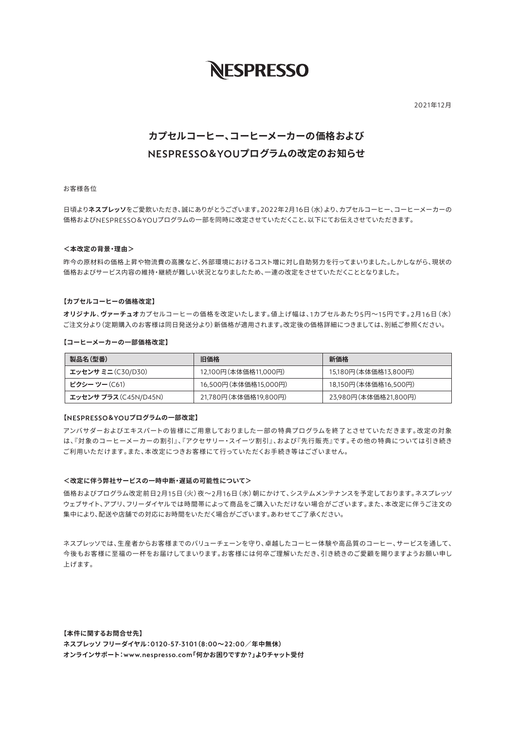# **NESPRESSO**

2021䇗12僖

# **カプセルコーヒー、コーヒーメーカーの価格および** NESPRESSO&YOUプログラムの改定のお知らせ

## お客様各位

日頃よりネスプレッソをご愛飲いただき、誠にありがとうございます。2022年2月16日 (水) より、カプセルコーヒー、コーヒーメーカーの 価格およびNESPRESSO&YOUプログラムの一部を同時に改定させていただくこと、以下にてお伝えさせていただきます。

#### < 本改定の背暑·理中>

昨今の原材料の価格上昇や物流費の高騰など、外部環境におけるコスト増に対し自助努力を行ってまいりました。しかしながら、現状の 価格およびサービス内容の維持・継続が難しい状況となりましたため、一連の改定をさせていただくこととなりました。

### 【カプセルコーヒーの価格改定】

オリジナル、ヴァーチュオカプセルコーヒーの価格を改定いたします。値上げ幅は、1カプセルあたり5円~15円です。2月16日 (水) ご注文分より(定期購入のお客様は同日発送分より)新価格が適用されます。改定後の価格詳細につきましては、別紙ご参照ください。

【コーヒーメーカーの一部価格改定】

| 製品名(型番)               | 旧価格                  | 新価格                  |
|-----------------------|----------------------|----------------------|
| エッセンサ ミニ (C30/D30)    | 12,100円(本体価格11,000円) | 15,180円(本体価格13,800円) |
| <b>ピクシー ツー(C61)</b>   | 16,500円(本体価格15,000円) | 18,150円(本体価格16,500円) |
| エッセンサ プラス (C45N/D45N) | 21,780円(本体価格19,800円) | 23,980円(本体価格21,800円) |

#### 【NESPRESSO&YOUプログラムの一部改定】

アンバサダーおよびエキスパートの皆様にご用意しておりました一部の特典プログラムを終了とさせていただきます。改定の対象 は、『対象のコーヒーメーカーの割引』、『アクセサリー・スイーツ割引』、および『先行販売』です。その他の特典については引き続き ご利用いただけます。また、本改定につきお客様にて行っていただくお手続き等はございません。

#### <改定に伴う弊社サービスの一時中断·遅延の可能性について>

価格およびプログラム改定前日2月15日 (火) 夜~2月16日 (水) 朝にかけて、システムメンテナンスを予定しております。ネスプレッソ ウェブサイト、アプリ、フリーダイヤルでは時間帯によって商品をご購入いただけない場合がございます。また、本改定に伴うご注文の 集中により、配送や店舗での対応にお時間をいただく場合がございます。あわせてご了承ください。

ネスプレッソでは、生産者からお客様までのバリューチェーンを守り、卓越したコーヒー体験や高品質のコーヒー、サービスを通して、 今後もお客様に至福の一杯をお届けしてまいります。お客様には何卒ご理解いただき、引き続きのご愛顧を賜りますようお願い申し 上げます。

【本件に関するお問合せ先】 ネスプレッソ フリーダイヤル:0120-57-3101(8:00~22:00/年中無休) オンラインサポート:www.nespresso.com「何かお困りですか?」よりチャット受付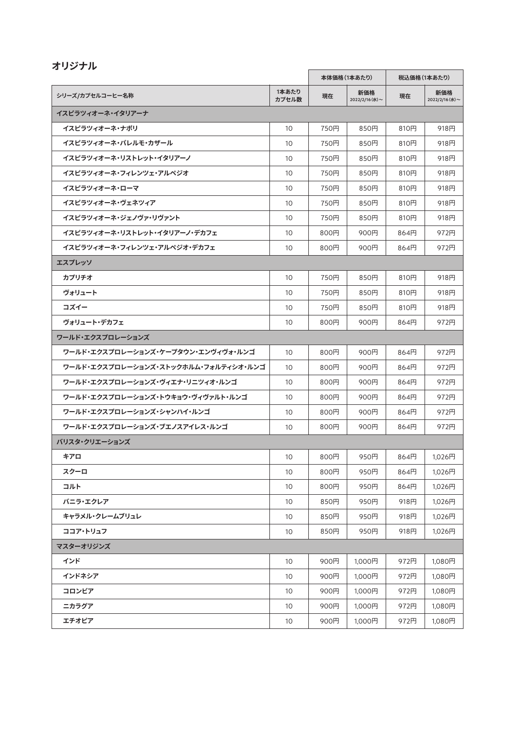| オリジナル                                |                |              |                       |              |                       |
|--------------------------------------|----------------|--------------|-----------------------|--------------|-----------------------|
|                                      |                | 本体価格 (1本あたり) |                       | 税込価格 (1本あたり) |                       |
| シリーズ/カプセルコーヒー名称                      | 1本あたり<br>カプセル数 | 現在           | 新価格<br>2022/2/16 (水)~ | 現在           | 新価格<br>2022/2/16 (水)~ |
| イスピラツィオーネ・イタリアーナ                     |                |              |                       |              |                       |
| イスピラツィオーネ・ナポリ                        | 10             | 750円         | 850円                  | 810円         | 918円                  |
| イスピラツィオーネ・パレルモ・カザール                  | 10             | 750円         | 850円                  | 810円         | 918円                  |
| イスピラツィオーネ・リストレット・イタリアーノ              | 10             | 750円         | 850円                  | 810円         | 918円                  |
| イスピラツィオーネ・フィレンツェ・アルペジオ               | 10             | 750円         | 850円                  | 810円         | 918円                  |
| イスピラツィオーネ・ローマ                        | 10             | 750円         | 850円                  | 810円         | 918円                  |
| イスピラツィオーネ・ヴェネツィア                     | 10             | 750円         | 850円                  | 810円         | 918円                  |
| イスピラツィオーネ・ジェノヴァ・リヴァント                | 10             | 750円         | 850円                  | 810円         | 918円                  |
| イスピラツィオーネ・リストレット・イタリアーノ・デカフェ         | 10             | 800円         | 900円                  | 864円         | 972円                  |
| イスピラツィオーネ・フィレンツェ・アルペジオ・デカフェ          | 10             | 800円         | 900円                  | 864円         | 972円                  |
| エスプレッソ                               |                |              |                       |              |                       |
| カプリチオ                                | 10             | 750円         | 850円                  | 810円         | 918円                  |
| ヴォリュート                               | 10             | 750円         | 850円                  | 810円         | 918円                  |
| コズイー                                 | 10             | 750円         | 850円                  | 810円         | 918円                  |
| ヴォリュート・デカフェ                          | 10             | 800円         | 900円                  | 864円         | 972円                  |
| ワールド・エクスプロレーションズ                     |                |              |                       |              |                       |
| ワールド・エクスプロレーションズ・ケープタウン・エンヴィヴォ・ルンゴ   | 10             | 800円         | 900円                  | 864円         | 972円                  |
| ワールド・エクスプロレーションズ・ストックホルム・フォルティシオ・ルンゴ | 10             | 800円         | 900円                  | 864円         | 972円                  |
| ワールド・エクスプロレーションズ・ヴィエナ・リニツィオ・ルンゴ      | 10             | 800円         | 900円                  | 864円         | 972円                  |
| ワールド・エクスプロレーションズ・トウキョウ・ヴィヴァルト・ルンゴ    | 10             | 800円         | 900円                  | 864円         | 972円                  |
| ワールド・エクスプロレーションズ・シャンハイ・ルンゴ           | 10             | 800円         | 900円                  | 864円         | 972円                  |
| ワールド・エクスプロレーションズ・ブエノスアイレス・ルンゴ        | 10             | 800円         | 900円                  | 864円         | 972円                  |
| バリスタ・クリエーションズ                        |                |              |                       |              |                       |
| キアロ                                  | 10             | 800円         | 950円                  | 864円         | 1,026円                |
| スクーロ                                 | 10             | 800円         | 950円                  | 864円         | 1,026円                |
| コルト                                  | 10             | 800円         | 950円                  | 864円         | 1,026円                |
| バニラ・エクレア                             | 10             | 850円         | 950円                  | 918円         | 1,026円                |
| キャラメル・クレームブリュレ                       | 10             | 850円         | 950円                  | 918円         | 1,026円                |
| ココア・トリュフ                             | 10             | 850円         | 950円                  | 918円         | 1,026円                |
| マスターオリジンズ                            |                |              |                       |              |                       |
| インド                                  | 10             | 900円         | 1,000円                | 972円         | 1,080円                |
| インドネシア                               | 10             | 900円         | 1,000円                | 972円         | 1,080円                |
| コロンビア                                | 10             | 900円         | 1,000円                | 972円         | 1,080円                |
| ニカラグア                                | 10             | 900円         | 1,000円                | 972円         | 1,080円                |
| エチオピア                                | 10             | 900円         | 1,000円                | 972円         | 1,080円                |